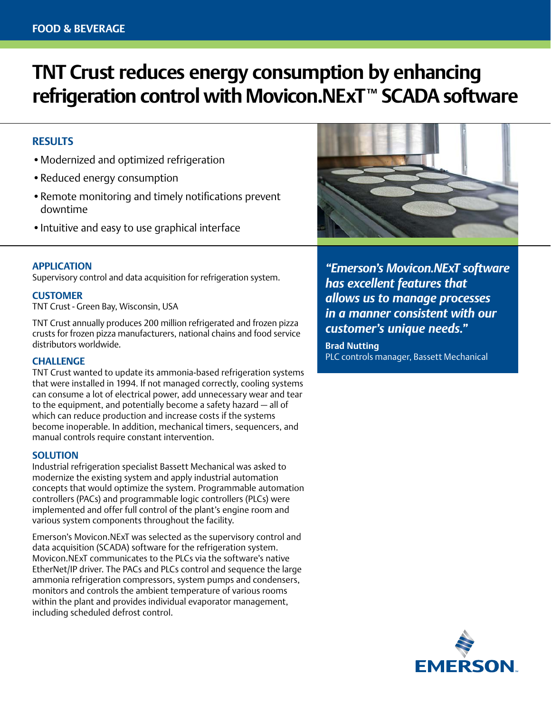# **TNT Crust reduces energy consumption by enhancing**  refrigeration control with Movicon.NExT<sup>™</sup> SCADA software

## **RESULTS**

- •Modernized and optimized refrigeration
- •Reduced energy consumption
- Remote monitoring and timely notifications prevent downtime
- •Intuitive and easy to use graphical interface

#### **APPLICATION**

Supervisory control and data acquisition for refrigeration system.

#### **CUSTOMER**

TNT Crust - Green Bay, Wisconsin, USA

TNT Crust annually produces 200 million refrigerated and frozen pizza crusts for frozen pizza manufacturers, national chains and food service distributors worldwide.

### **CHALLENGE**

TNT Crust wanted to update its ammonia-based refrigeration systems that were installed in 1994. If not managed correctly, cooling systems can consume a lot of electrical power, add unnecessary wear and tear to the equipment, and potentially become a safety hazard — all of which can reduce production and increase costs if the systems become inoperable. In addition, mechanical timers, sequencers, and manual controls require constant intervention.

#### **SOLUTION**

Industrial refrigeration specialist Bassett Mechanical was asked to modernize the existing system and apply industrial automation concepts that would optimize the system. Programmable automation controllers (PACs) and programmable logic controllers (PLCs) were implemented and offer full control of the plant's engine room and various system components throughout the facility.

Emerson's Movicon.NExT was selected as the supervisory control and data acquisition (SCADA) software for the refrigeration system. Movicon.NExT communicates to the PLCs via the software's native EtherNet/IP driver. The PACs and PLCs control and sequence the large ammonia refrigeration compressors, system pumps and condensers, monitors and controls the ambient temperature of various rooms within the plant and provides individual evaporator management, including scheduled defrost control.



*"Emerson's Movicon.NExT software has excellent features that allows us to manage processes in a manner consistent with our customer's unique needs."* 

**Brad Nutting**  PLC controls manager, Bassett Mechanical